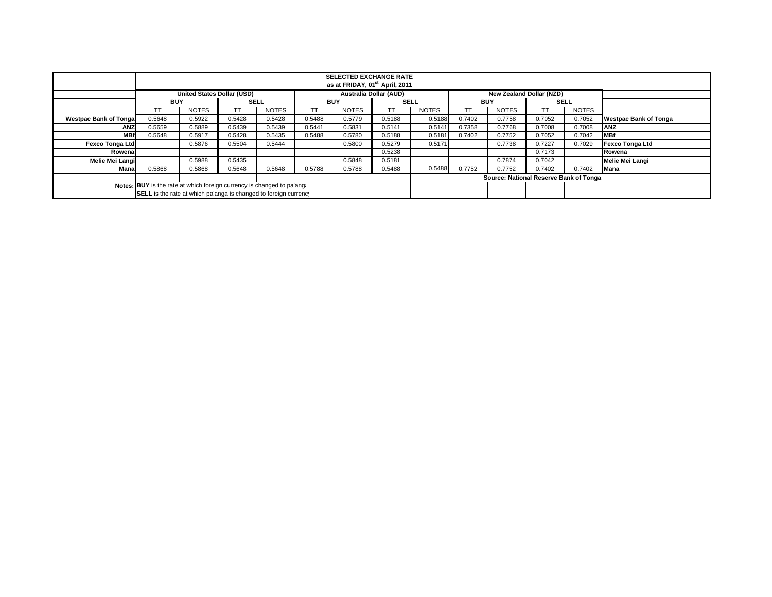|                                                                        |                                                                  |                                   |             |              |            | as at FRIDAY, 01 <sup>st</sup> April, 2011 |                               |              |            |                                 |             |              |                              |
|------------------------------------------------------------------------|------------------------------------------------------------------|-----------------------------------|-------------|--------------|------------|--------------------------------------------|-------------------------------|--------------|------------|---------------------------------|-------------|--------------|------------------------------|
|                                                                        |                                                                  | <b>United States Dollar (USD)</b> |             |              |            |                                            | <b>Australia Dollar (AUD)</b> |              |            | <b>New Zealand Dollar (NZD)</b> |             |              |                              |
|                                                                        | <b>BUY</b>                                                       |                                   | <b>SELL</b> |              | <b>BUY</b> |                                            | <b>SELL</b>                   |              | <b>BUY</b> |                                 | <b>SELL</b> |              |                              |
|                                                                        |                                                                  | <b>NOTES</b>                      | TT          | <b>NOTES</b> | TT         | <b>NOTES</b>                               | TT                            | <b>NOTES</b> |            | <b>NOTES</b>                    |             | <b>NOTES</b> |                              |
| <b>Westpac Bank of Tongal</b>                                          | 0.5648                                                           | 0.5922                            | 0.5428      | 0.5428       | 0.5488     | 0.5779                                     | 0.5188                        | 0.5188       | 0.7402     | 0.7758                          | 0.7052      | 0.7052       | <b>Westpac Bank of Tonga</b> |
| <b>ANZ</b>                                                             | 0.5659                                                           | 0.5889                            | 0.5439      | 0.5439       | 0.5441     | 0.5831                                     | 0.5141                        | 0.5141       | 0.7358     | 0.7768                          | 0.7008      | 0.7008       | ANZ                          |
| <b>MBf</b>                                                             | 0.5648                                                           | 0.5917                            | 0.5428      | 0.5435       | 0.5488     | 0.5780                                     | 0.5188                        | 0.5181       | 0.7402     | 0.7752                          | 0.7052      | 0.7042       | <b>MBf</b>                   |
| <b>Fexco Tonga Ltd</b>                                                 |                                                                  | 0.5876                            | 0.5504      | 0.5444       |            | 0.5800                                     | 0.5279                        | 0.5171       |            | 0.7738                          | 0.7227      | 0.7029       | Fexco Tonga Ltd              |
| Rowenal                                                                |                                                                  |                                   |             |              |            |                                            | 0.5238                        |              |            |                                 | 0.7173      |              | Rowena                       |
| Melie Mei Langi                                                        |                                                                  | 0.5988                            | 0.5435      |              |            | 0.5848                                     | 0.5181                        |              |            | 0.7874                          | 0.7042      |              | Melie Mei Langi              |
| Mana                                                                   | 0.5868                                                           | 0.5868                            | 0.5648      | 0.5648       | 0.5788     | 0.5788                                     | 0.5488                        | 0.5488       | 0.7752     | 0.7752                          | 0.7402      | 0.7402       | <b>Mana</b>                  |
|                                                                        | Source: National Reserve Bank of Tonga                           |                                   |             |              |            |                                            |                               |              |            |                                 |             |              |                              |
| Notes: BUY is the rate at which foreign currency is changed to pa'ang: |                                                                  |                                   |             |              |            |                                            |                               |              |            |                                 |             |              |                              |
|                                                                        | SELL is the rate at which pa'anga is changed to foreign currency |                                   |             |              |            |                                            |                               |              |            |                                 |             |              |                              |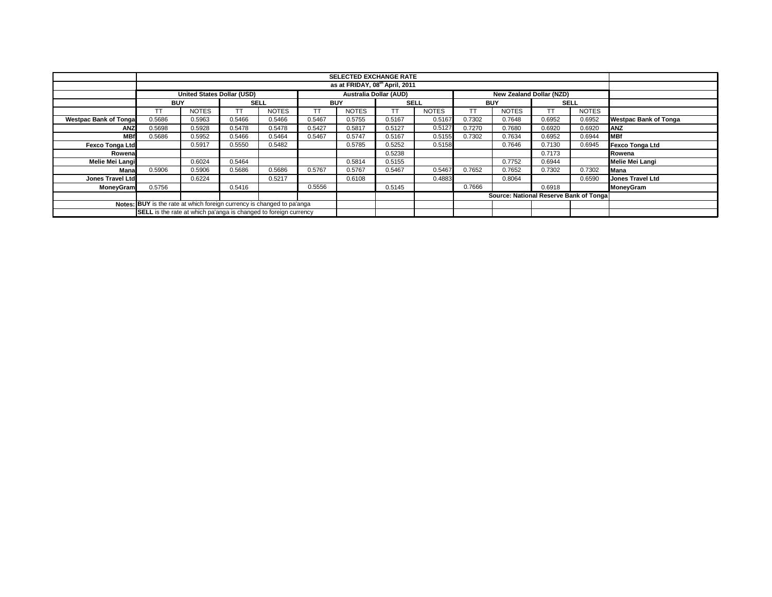|                               |                                                                         |              |             |              |            | <b>SELECTED EXCHANGE RATE</b>  |             |              |            |                                        |             |              |                              |
|-------------------------------|-------------------------------------------------------------------------|--------------|-------------|--------------|------------|--------------------------------|-------------|--------------|------------|----------------------------------------|-------------|--------------|------------------------------|
|                               |                                                                         |              |             |              |            | as at FRIDAY, 08th April, 2011 |             |              |            |                                        |             |              |                              |
|                               | <b>United States Dollar (USD)</b>                                       |              |             |              |            | Australia Dollar (AUD)         |             |              |            | New Zealand Dollar (NZD)               |             |              |                              |
|                               | <b>BUY</b>                                                              |              | <b>SELL</b> |              | <b>BUY</b> |                                | <b>SELL</b> |              | <b>BUY</b> |                                        | <b>SELL</b> |              |                              |
|                               | TT.                                                                     | <b>NOTES</b> | <b>TT</b>   | <b>NOTES</b> |            | <b>NOTES</b>                   |             | <b>NOTES</b> | ТT         | <b>NOTES</b>                           | ТT          | <b>NOTES</b> |                              |
| <b>Westpac Bank of Tongal</b> | 0.5686                                                                  | 0.5963       | 0.5466      | 0.5466       | 0.5467     | 0.5755                         | 0.5167      | 0.5167       | 0.7302     | 0.7648                                 | 0.6952      | 0.6952       | <b>Westpac Bank of Tonga</b> |
| <b>ANZ</b>                    | 0.5698                                                                  | 0.5928       | 0.5478      | 0.5478       | 0.5427     | 0.5817                         | 0.5127      | 0.5127       | 0.7270     | 0.7680                                 | 0.6920      | 0.6920       | <b>JANZ</b>                  |
| <b>MBf</b>                    | 0.5686                                                                  | 0.5952       | 0.5466      | 0.5464       | 0.5467     | 0.5747                         | 0.5167      | 0.5155       | 0.7302     | 0.7634                                 | 0.6952      | 0.6944       | <b>MBf</b>                   |
| <b>Fexco Tonga Ltd</b>        |                                                                         | 0.5917       | 0.5550      | 0.5482       |            | 0.5785                         | 0.5252      | 0.5158       |            | 0.7646                                 | 0.7130      | 0.6945       | <b>Fexco Tonga Ltd</b>       |
| Rowena                        |                                                                         |              |             |              |            |                                | 0.5238      |              |            |                                        | 0.7173      |              | Rowena                       |
| Melie Mei Langi               |                                                                         | 0.6024       | 0.5464      |              |            | 0.5814                         | 0.5155      |              |            | 0.7752                                 | 0.6944      |              | Melie Mei Langi              |
| Mana                          | 0.5906                                                                  | 0.5906       | 0.5686      | 0.5686       | 0.5767     | 0.5767                         | 0.5467      | 0.5467       | 0.7652     | 0.7652                                 | 0.7302      | 0.7302       | <b>Mana</b>                  |
| <b>Jones Travel Ltd</b>       |                                                                         | 0.6224       |             | 0.5217       |            | 0.6108                         |             | 0.4883       |            | 0.8064                                 |             | 0.6590       | <b>Jones Travel Ltd</b>      |
| <b>MoneyGram</b>              | 0.5756                                                                  |              | 0.5416      |              | 0.5556     |                                | 0.5145      |              | 0.7666     |                                        | 0.6918      |              | MoneyGram                    |
|                               |                                                                         |              |             |              |            |                                |             |              |            | Source: National Reserve Bank of Tonga |             |              |                              |
|                               | Notes: BUY is the rate at which foreign currency is changed to pa'anga  |              |             |              |            |                                |             |              |            |                                        |             |              |                              |
|                               | <b>SELL</b> is the rate at which pa'anga is changed to foreign currency |              |             |              |            |                                |             |              |            |                                        |             |              |                              |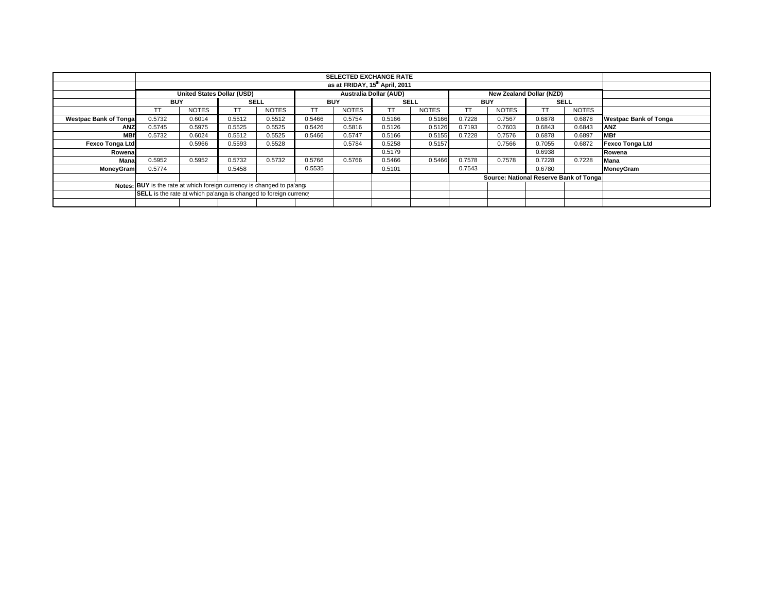|                              |                                                                        |                                   |             |              |        | <b>SELECTED EXCHANGE RATE</b>              |                               |              |        |                                         |             |              |                              |
|------------------------------|------------------------------------------------------------------------|-----------------------------------|-------------|--------------|--------|--------------------------------------------|-------------------------------|--------------|--------|-----------------------------------------|-------------|--------------|------------------------------|
|                              |                                                                        |                                   |             |              |        | as at FRIDAY, 15 <sup>th</sup> April, 2011 |                               |              |        |                                         |             |              |                              |
|                              |                                                                        |                                   |             |              |        |                                            |                               |              |        |                                         |             |              |                              |
|                              |                                                                        | <b>United States Dollar (USD)</b> |             |              |        |                                            | <b>Australia Dollar (AUD)</b> |              |        | New Zealand Dollar (NZD)                |             |              |                              |
|                              | <b>BUY</b>                                                             |                                   | <b>SELL</b> |              |        | <b>BUY</b>                                 | <b>SELL</b>                   |              |        | <b>BUY</b>                              | <b>SELL</b> |              |                              |
|                              |                                                                        | <b>NOTES</b>                      | TT.         | <b>NOTES</b> |        | <b>NOTES</b>                               |                               | <b>NOTES</b> |        | <b>NOTES</b>                            |             | <b>NOTES</b> |                              |
| <b>Westpac Bank of Tonga</b> | 0.5732                                                                 | 0.6014                            | 0.5512      | 0.5512       | 0.5466 | 0.5754                                     | 0.5166                        | 0.5166       | 0.7228 | 0.7567                                  | 0.6878      | 0.6878       | <b>Westpac Bank of Tonga</b> |
| <b>ANZ</b>                   | 0.5745                                                                 | 0.5975                            | 0.5525      | 0.5525       | 0.5426 | 0.5816                                     | 0.5126                        | 0.5126       | 0.7193 | 0.7603                                  | 0.6843      | 0.6843       | <b>ANZ</b>                   |
| <b>MBf</b>                   | 0.5732                                                                 | 0.6024                            | 0.5512      | 0.5525       | 0.5466 | 0.5747                                     | 0.5166                        | 0.5155       | 0.7228 | 0.7576                                  | 0.6878      | 0.6897       | <b>MBf</b>                   |
| Fexco Tonga Ltd              |                                                                        | 0.5966                            | 0.5593      | 0.5528       |        | 0.5784                                     | 0.5258                        | 0.5157       |        | 0.7566                                  | 0.7055      | 0.6872       | <b>Fexco Tonga Ltd</b>       |
| Rowena                       |                                                                        |                                   |             |              |        |                                            | 0.5179                        |              |        |                                         | 0.6938      |              | Rowena                       |
| Mana                         | 0.5952                                                                 | 0.5952                            | 0.5732      | 0.5732       | 0.5766 | 0.5766                                     | 0.5466                        | 0.5466       | 0.7578 | 0.7578                                  | 0.7228      | 0.7228       | Mana                         |
| MoneyGram                    | 0.5774                                                                 |                                   | 0.5458      |              | 0.5535 |                                            | 0.5101                        |              | 0.7543 |                                         | 0.6780      |              | <b>MoneyGram</b>             |
|                              |                                                                        |                                   |             |              |        |                                            |                               |              |        | Source: National Reserve Bank of Tongal |             |              |                              |
|                              | Notes: BUY is the rate at which foreign currency is changed to pa'ang. |                                   |             |              |        |                                            |                               |              |        |                                         |             |              |                              |
|                              | SELL is the rate at which pa'anga is changed to foreign currency       |                                   |             |              |        |                                            |                               |              |        |                                         |             |              |                              |
|                              |                                                                        |                                   |             |              |        |                                            |                               |              |        |                                         |             |              |                              |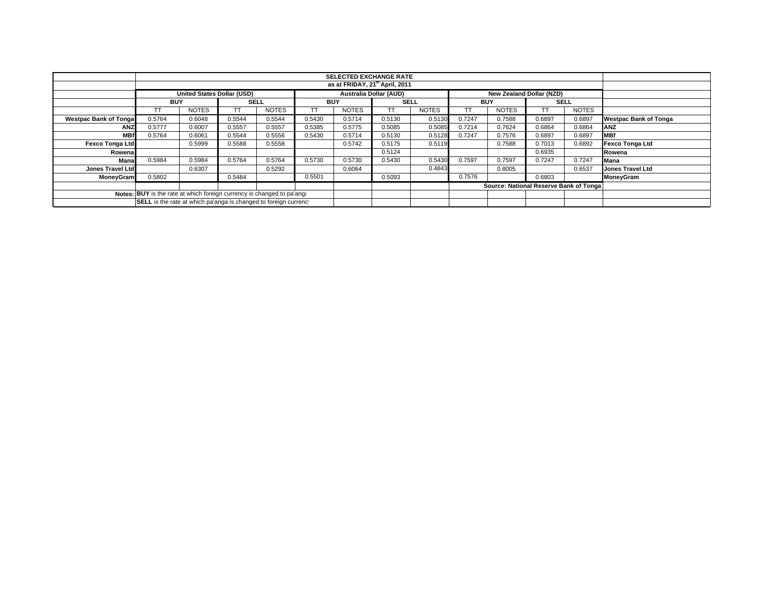|                              |                                                                        |                                   |             |              |            | <b>SELECTED EXCHANGE RATE</b>              |             |              |            |                                        |             |              |                              |
|------------------------------|------------------------------------------------------------------------|-----------------------------------|-------------|--------------|------------|--------------------------------------------|-------------|--------------|------------|----------------------------------------|-------------|--------------|------------------------------|
|                              |                                                                        |                                   |             |              |            | as at FRIDAY, 21 <sup>th</sup> April, 2011 |             |              |            |                                        |             |              |                              |
|                              |                                                                        | <b>United States Dollar (USD)</b> |             |              |            | <b>Australia Dollar (AUD)</b>              |             |              |            | New Zealand Dollar (NZD)               |             |              |                              |
|                              | <b>BUY</b>                                                             |                                   | <b>SELL</b> |              | <b>BUY</b> |                                            | <b>SELL</b> |              | <b>BUY</b> |                                        | <b>SELL</b> |              |                              |
|                              | TΤ                                                                     | <b>NOTES</b>                      | TT          | <b>NOTES</b> | TT         | <b>NOTES</b>                               | ТT          | <b>NOTES</b> |            | <b>NOTES</b>                           |             | <b>NOTES</b> |                              |
| <b>Westpac Bank of Tonga</b> | 0.5764                                                                 | 0.6048                            | 0.5544      | 0.5544       | 0.5430     | 0.5714                                     | 0.5130      | 0.5130       | 0.7247     | 0.7588                                 | 0.6897      | 0.6897       | <b>Westpac Bank of Tonga</b> |
| <b>ANZ</b>                   | 0.5777                                                                 | 0.6007                            | 0.5557      | 0.5557       | 0.5385     | 0.5775                                     | 0.5085      | 0.5085       | 0.7214     | 0.7624                                 | 0.6864      | 0.6864       | <b>ANZ</b>                   |
| <b>MBf</b>                   | 0.5764                                                                 | 0.6061                            | 0.5544      | 0.5556       | 0.5430     | 0.5714                                     | 0.5130      | 0.5128       | 0.7247     | 0.7576                                 | 0.6897      | 0.6897       | <b>MBf</b>                   |
| <b>Fexco Tonga Ltd</b>       |                                                                        | 0.5999                            | 0.5588      | 0.5558       |            | 0.5742                                     | 0.5175      | 0.5119       |            | 0.7588                                 | 0.7013      | 0.6892       | Fexco Tonga Ltd              |
| Rowena                       |                                                                        |                                   |             |              |            |                                            | 0.5124      |              |            |                                        | 0.6935      |              | Rowena                       |
| Mana                         | 0.5984                                                                 | 0.5984                            | 0.5764      | 0.5764       | 0.5730     | 0.5730                                     | 0.5430      | 0.5430       | 0.7597     | 0.7597                                 | 0.7247      | 0.7247       | Mana                         |
| Jones Travel Ltd             |                                                                        | 0.6307                            |             | 0.5292       |            | 0.6064                                     |             | 0.4843       |            | 0.8005                                 |             | 0.6537       | <b>Jones Travel Ltd</b>      |
| <b>MoneyGram</b>             | 0.5802                                                                 |                                   | 0.5484      |              | 0.5501     |                                            | 0.5093      |              | 0.7576     |                                        | 0.6803      |              | MoneyGram                    |
|                              |                                                                        |                                   |             |              |            |                                            |             |              |            | Source: National Reserve Bank of Tonga |             |              |                              |
|                              | Notes: BUY is the rate at which foreign currency is changed to pa'ang. |                                   |             |              |            |                                            |             |              |            |                                        |             |              |                              |
|                              | SELL is the rate at which pa'anga is changed to foreign currency       |                                   |             |              |            |                                            |             |              |            |                                        |             |              |                              |